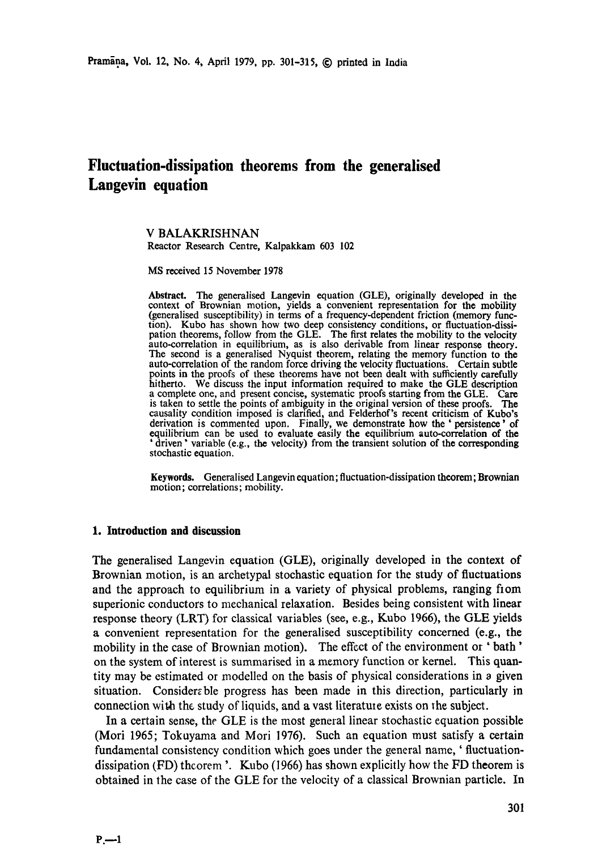# **Fluctuation-dissipation theorems from the generalised Langevin equation**

V BALAKRISHNAN Reactor Research Centre, Kalpakkam 603 102

MS received 15 November 1978

**Abstract.** The generalised Langevin equation (GLE), originally developed in the context of Brownian motion, yields a convenient representation for the mobility (generalised susceptibility) in terms of a frequency-dependent friction (memory function). Kubo has shown how two deep consistency conditions, or fluctuation-dissipation theorems, follow from the GLE. The first relates the mobility to the velocity auto-correlation in equilibrium, as is also derivable from linear response theory. The second is a generalised Nyquist theorem, relating the memory function to the auto-correlation of the random force driving the velocity fluctuations. Certain subtle points in the proofs of these theorems have not been dealt with sufficiently carefully hitherto. We discuss the input information required to make the GLE description a complete one, and present concise, systematic proofs starting from the GLE. Care is taken to settle the points of ambiguity in the original version of these proofs. The causality condition imposed is clarified, and Felderhof's recent criticism of Kubo's derivation is commented upon. Finally, we demonstrate how the ' persistence ' of equilibrium can be used to evaluate easily the equilibrium auto-correlation of the ' driven ' variable (e.g., the velocity) from the transient solution of the **corresponding**  stochastic equation.

**Keywords.** Generalised Langevin equation; fluctuation-dissipation theorem; Brownian motion; correlations; mobility.

### **1. Introduction and discussion**

The generalised Langevin equation (GLE), originally developed in the context of Brownian motion, is an archetypal stochastic equation for the study of fluctuations and the approach to equilibrium in a variety of physical problems, ranging from superionic conductors to mechanical relaxation. Besides being consistent with linear response theory (LRT) for classical variables (see, e.g., Kubo 1966), the GLE yields a convenient representation for the generalised susceptibility concerned (e.g., the mobility in the case of Brownian motion). The effect of the environment or ' bath' on the system of interest is summarised in a memory function or kernel. This quantity may be estimated or modelled on the basis of physical considerations in a given situation. Considerable progress has been made in this direction, particularly in connection with the study of liquids, and a vast literature exists on the subject.

In a certain sense, the GLE is the most general linear stochastic equation possible (Mori 1965; Tokuyama and Mori 1976). Such an equation must satisfy a certain fundamental consistency condition which goes under the general name, ' fluctuationdissipation (FD) theorem  $\cdot$ . Kubo (1966) has shown explicitly how the FD theorem is obtained in the case of the GLE for the velocity of a classical Brownian particle. In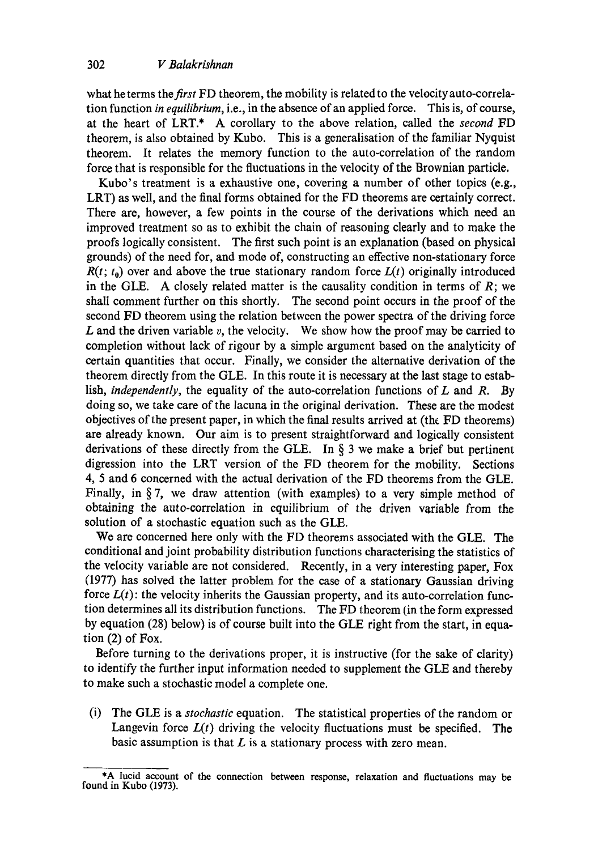what he terms the *first* FD theorem, the mobility is related to the velocity auto-correlation function *in equilibrium,* i.e., in the absence of an applied force. This is, of course, at the heart of LRT.\* A corollary to the above relation, called the *second* FD theorem, is also obtained by Kubo. This is a generalisation of the familiar Nyquist theorem. It relates the memory function to the auto-correlation of the random force that is responsible for the fluctuations in the velocity of the Brownian particle.

Kubo's treatment is a exhaustive one, covering a number of other topics (e.g., LRT) as well, and the final forms obtained for the FD theorems are certainly correct. There are, however, a few points in the course of the derivations which need an improved treatment so as to exhibit the chain of reasoning clearly and to make the proofs logically consistent. The first such point is an explanation (based on physical grounds) of the need for, and mode of, constructing an effective non-stationary force  $R(t; t_0)$  over and above the true stationary random force  $L(t)$  originally introduced in the GLE. A closely related matter is the causality condition in terms of  $R$ ; we shall comment further on this shortly. The second point occurs in the proof of the second FD theorem using the relation between the power spectra of the driving force L and the driven variable v, the velocity. We show how the proof may be carried to completion without lack of rigour by a simple argument based on the analyticity of certain quantities that occur. Finally, we consider the alternative derivation of the theorem directly from the GLE. In this route it is necessary at the last stage to establish, *independently,* the equality of the auto-correlation functions of L and R. By doing so, we take care of the lacuna in the original derivation. These are the modest objectives of the present paper, in which the final results arrived at (the FD theorems) are already known. Our aim is to present straightforward and logically consistent derivations of these directly from the GLE. In  $\S$  3 we make a brief but pertinent digression into the LRT version of the FD theorem for the mobility. Sections 4, 5 and 6 concerned with the actual derivation of the FD theorems from the GLE. Finally, in  $\S 7$ , we draw attention (with examples) to a very simple method of obtaining the auto-correlation in equilibrium of the driven variable from the solution of a stochastic equation such as the GLE.

We are concerned here only with the FD theorems associated with the GLE. The conditional and joint probability distribution functions characterising the statistics of the velocity variable are not considered. Recently, in a very interesting paper, Fox (1977) has solved the latter problem for the case of a stationary Gaussian driving force  $L(t)$ : the velocity inherits the Gaussian property, and its auto-correlation function determines all its distribution functions. The FD theorem (in the form expressed by equation (28) below) is of course built into the GLE right from the start, in equation (2) of Fox.

Before turning to the derivations proper, it is instructive (for the sake of clarity) to identify the further input information needed to supplement the GLE and thereby to make such a stochastic model a complete one.

(i) The GLE is a *stochastic* equation. The statistical properties of the random or Langevin force  $L(t)$  driving the velocity fluctuations must be specified. The basic assumption is that  $L$  is a stationary process with zero mean.

<sup>\*</sup>A lucid account of the connection between response, relaxation and fluctuations may be found in Kubo (1973).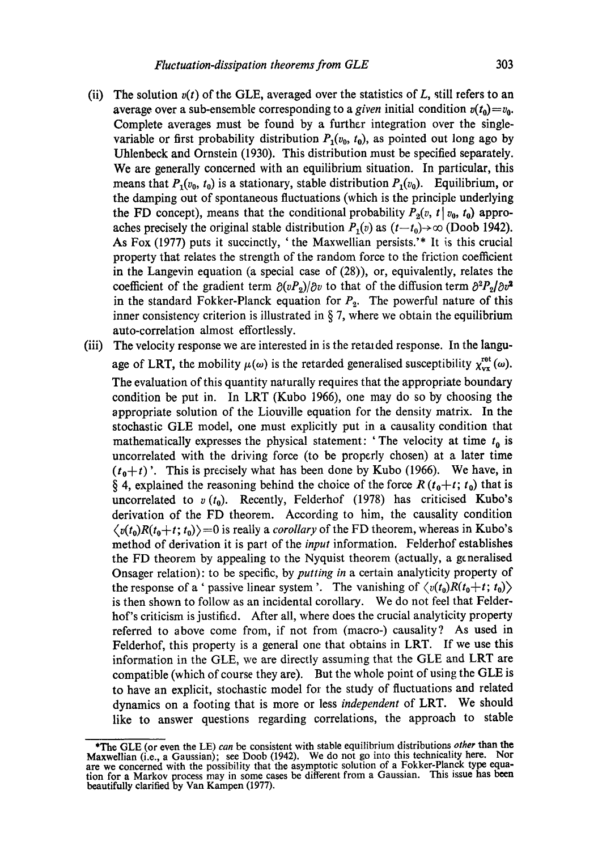- (ii) The solution  $v(t)$  of the GLE, averaged over the statistics of L, still refers to an average over a sub-ensemble corresponding to a *given* initial condition  $v(t_0) = v_0$ . Complete averages must be found by a further integration over the singlevariable or first probability distribution  $P_1(v_0, t_0)$ , as pointed out long ago by Uhlenbeck and Ornstein (1930). This distribution must be specified separately. We are generally concerned with an equilibrium situation. In particular, this means that  $P_1(v_0, t_0)$  is a stationary, stable distribution  $P_1(v_0)$ . Equilibrium, or the damping out of spontaneous fluctuations (which is the principle underlying the FD concept), means that the conditional probability  $P_2(v, t | v_0, t_0)$  approaches precisely the original stable distribution  $P_1(v)$  as  $(t-t_0) \rightarrow \infty$  (Doob 1942). As Fox (1977) puts it succinctly, ' the Maxwellian persists.'\* It is this crucial property that relates the strength of the random force to the friction coefficient in the Langevin equation (a special case of (28)), or, equivalently, relates the coefficient of the gradient term  $\frac{\partial (vP_2)}{\partial v}$  to that of the diffusion term  $\frac{\partial^2 P_2}{\partial v^2}$ in the standard Fokker-Planck equation for  $P_2$ . The powerful nature of this inner consistency criterion is illustrated in  $\S 7$ , where we obtain the equilibrium auto-correlation almost effortlessly.
- (iii) The velocity response we are interested in is the retarded response. In the language of LRT, the mobility  $\mu(\omega)$  is the retarded generalised susceptibility  $\chi_{vx}^{ret} (\omega)$ . The evaluation of this quantity naturally requires that the appropriate boundary condition be put in. In LRT (Kubo 1966), one may do so by choosing the appropriate solution of the Liouville equation for the density matrix. In the stochastic GLE model, one must explicitly put in a causality condition that mathematically expresses the physical statement: 'The velocity at time  $t_0$  is uncorrelated with the driving force (to be properly chosen) at a later time  $(t_0+t)$ . This is precisely what has been done by Kubo (1966). We have, in § 4, explained the reasoning behind the choice of the force  $R(t_0+t; t_0)$  that is uncorrelated to  $v(t_0)$ . Recently, Felderhof (1978) has criticised Kubo's derivation of the FD theorem. According to him, the causality condition  $\langle v(t_0)R(t_0+t; t_0)\rangle = 0$  is really a *corollary* of the FD theorem, whereas in Kubo's method of derivation it is part of the *input* information. Felderhof establishes the FD theorem by appealing to the Nyquist theorem (actually, a generalised Onsager relation): to be specific, by *putting in* a certain analyticity property of the response of a ' passive linear system '. The vanishing of  $\langle v(t_0)R(t_0+t; t_0) \rangle$ is then shown to follow as an incidental corollary. We do not feel that Felderhof's criticism is justified. After all, where does the crucial analyticity property referred to above come from, if not from (macro-) causality? As used in Felderhof, this property is a general one that obtains in LRT. If we use this information in the GLE, we are directly assuming that the GLE and LRT are compatible (which of course they are). But the whole point of using the GLE is to have an explicit, stochastic model for the study of fluctuations and related dynamics on a footing that is more or less *independent* of LRT. We should like to answer questions regarding correlations, the approach to stable

<sup>\*</sup>The GLE (or even the LE) *can* be consistent with stable equilibrium distributions *other* than the Maxwellian (i.e., a Gaussian); see Doob (1942). We do not go into this technicality here. Nor are we concerned with the possibility that the asymptotic solution of a Fokker-Planck type equation for a Markov process may in some cases be different from a Gaussian. This issue has been beautifully clarified by Van Kampen (1977).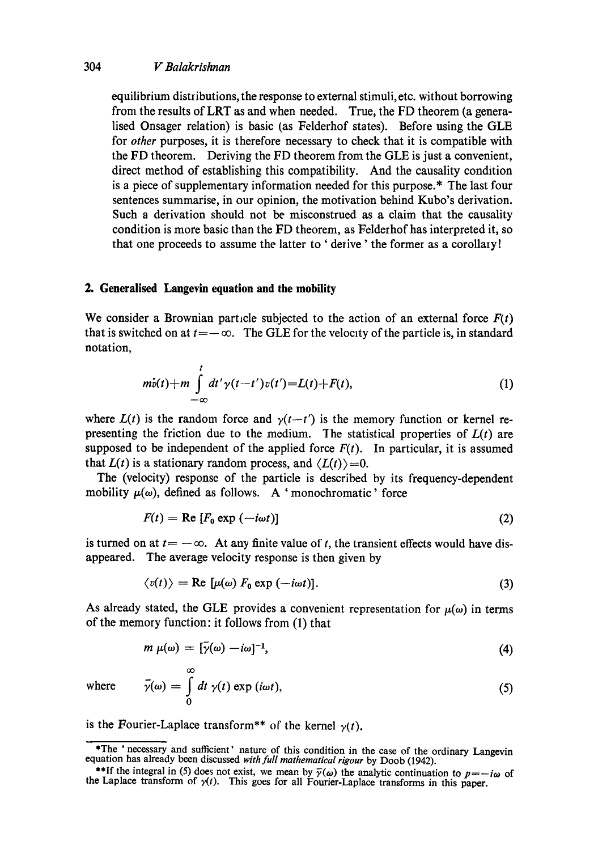equilibrium distributions, the response to external stimuli, etc. without borrowing from the results of LRT as and when needed. True, the FD theorem (a generalised Onsager relation) is basic (as Felderhof states). Before using the GLE for *other* purposes, it is therefore necessary to check that it is compatible with the FD theorem. Deriving the FD theorem from the GLE is just a convenient, direct method of establishing this compatibility. And the causality condition is a piece of supplementary information needed for this purpose.\* The last four sentences summarise, in our opinion, the motivation behind Kubo's derivation. Such a derivation should not be misconstrued as a claim that the causality condition is more basic than the FD theorem, as Felderhof has interpreted it, so that one proceeds to assume the latter to ' derive' the former as a corollary!

# **2. Generalised Langevin equation and the mobility**

We consider a Brownian particle subjected to the action of an external force  $F(t)$ that is switched on at  $t=-\infty$ . The GLE for the velocity of the particle is, in standard notation,

$$
m\dot{v}(t) + m \int_{-\infty}^{t} dt' \gamma(t-t') v(t') = L(t) + F(t),
$$
\n(1)

where  $L(t)$  is the random force and  $\gamma(t-t')$  is the memory function or kernel representing the friction due to the medium. The statistical properties of  $L(t)$  are supposed to be independent of the applied force  $F(t)$ . In particular, it is assumed that  $L(t)$  is a stationary random process, and  $\langle L(t) \rangle = 0$ .

The (velocity) response of the particle is described by its frequency-dependent mobility  $\mu(\omega)$ , defined as follows. A 'monochromatic' force

$$
F(t) = \text{Re}\left[F_0 \exp\left(-i\omega t\right)\right] \tag{2}
$$

is turned on at  $t=-\infty$ . At any finite value of t, the transient effects would have disappeared. The average velocity response is then given by

$$
\langle v(t) \rangle = \text{Re} \left[ \mu(\omega) \, F_0 \, \text{exp} \, (-i\omega t) \right]. \tag{3}
$$

As already stated, the GLE provides a convenient representation for  $\mu(\omega)$  in terms of the memory function: it follows from (1) that

$$
m \mu(\omega) = [\bar{\gamma}(\omega) - i\omega]^{-1}, \qquad (4)
$$

where 
$$
\bar{\gamma}(\omega) = \int_{0}^{\infty} dt \gamma(t) \exp(i\omega t),
$$
 (5)

is the Fourier-Laplace transform\*\* of the kernel  $\gamma(t)$ .

<sup>\*</sup>The ' necessary and sufficient' nature of this condition in the case of the ordinary Langevin equation has already been discussed *with full mathematical rigour* by Doob (1942).

<sup>\*\*</sup>If the integral in (5) does not exist, we mean by  $\bar{\gamma}(\omega)$  the analytic continuation to  $p=-i\omega$  of the Laplace transform of  $y(t)$ . This goes for all Fourier-Laplace transforms in this paper.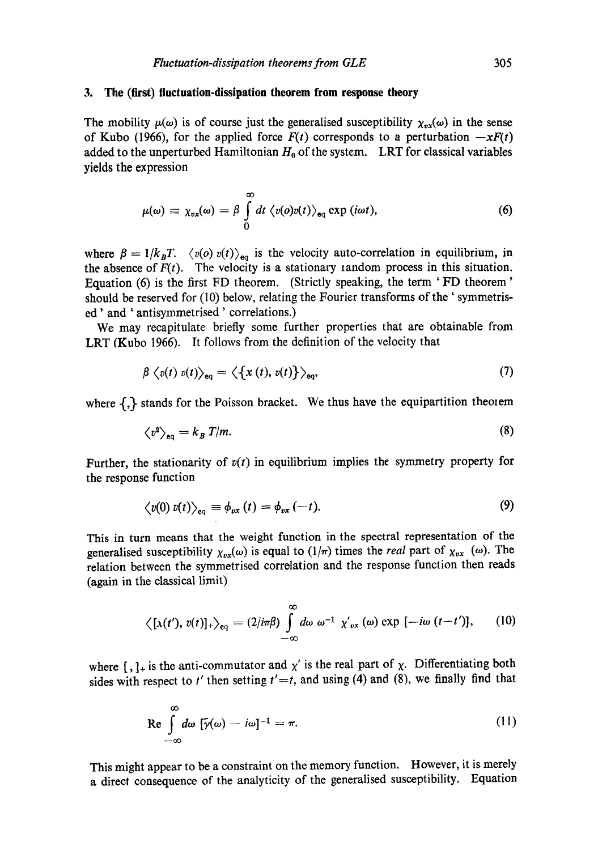## **3. The (first) fluctuation-dissipation theorem from response theory**

The mobility  $\mu(\omega)$  is of course just the generalised susceptibility  $\chi_{\nu x}(\omega)$  in the sense of Kubo (1966), for the applied force  $F(t)$  corresponds to a perturbation  $-xF(t)$ added to the unperturbed Hamiltonian  $H_0$  of the system. LRT for classical variables yields the expression

$$
\mu(\omega) \equiv \chi_{vx}(\omega) = \beta \int\limits_0^\infty dt \, \langle v(o)v(t) \rangle_{\text{eq}} \exp(i\omega t), \tag{6}
$$

where  $\beta = 1/k_B T$ .  $\langle v(\rho) v(t) \rangle_{\text{eq}}$  is the velocity auto-correlation in equilibrium, in the absence of  $F(t)$ . The velocity is a stationary random process in this situation. Equation (6) is the first FD theorem. (Strictly speaking, the term ' FD theorem' should be reserved for (10) below, relating the Fourier transforms of the ' symmetrised' and ' antisymmetrised ' correlations.)

We may recapitulate briefly some further properties that are obtainable from LRT (Kubo 1966). It follows from the definition of the velocity that

$$
\beta \langle v(t) v(t) \rangle_{\text{eq}} = \langle \{x(t), v(t)\} \rangle_{\text{eq}}, \tag{7}
$$

where  $\{\}$  stands for the Poisson bracket. We thus have the equipartition theorem

$$
\left\langle v^2 \right\rangle_{\text{eq}} = k_B T/m. \tag{8}
$$

Further, the stationarity of  $v(t)$  in equilibrium implies the symmetry property for the response function

$$
\langle v(0) v(t) \rangle_{\text{eq}} \equiv \phi_{vx}(t) = \phi_{vx}(-t). \tag{9}
$$

This in turn means that the weight function in the spectral representation of the generalised susceptibility  $\chi_{vx}(\omega)$  is equal to  $(1/\pi)$  times the *real* part of  $\chi_{vx}(\omega)$ . The relation between the symmetrised correlation and the response function then reads (again in the classical limit)

$$
\left\langle [x(t'), v(t)]_+ \right\rangle_{\text{eq}} = (2/i\pi\beta) \int\limits_{-\infty}^{\infty} d\omega \ \omega^{-1} \ \chi'_{vx}(\omega) \ \text{exp} \ [-i\omega \ (t-t')], \qquad (10)
$$

where  $\left[\,\right], \cdot\right]$  is the anti-commutator and  $\chi'$  is the real part of  $\chi$ . Differentiating both sides with respect to  $t'$  then setting  $t' = t$ , and using (4) and (8), we finally find that

$$
\operatorname{Re} \int_{-\infty}^{\infty} d\omega \, [\tilde{\gamma}(\omega) - i\omega]^{-1} = \pi. \tag{11}
$$

This might appear to be a constraint on the memory function. However, it is merely a direct consequence of the analyticity of the generalised susceptibility. Equation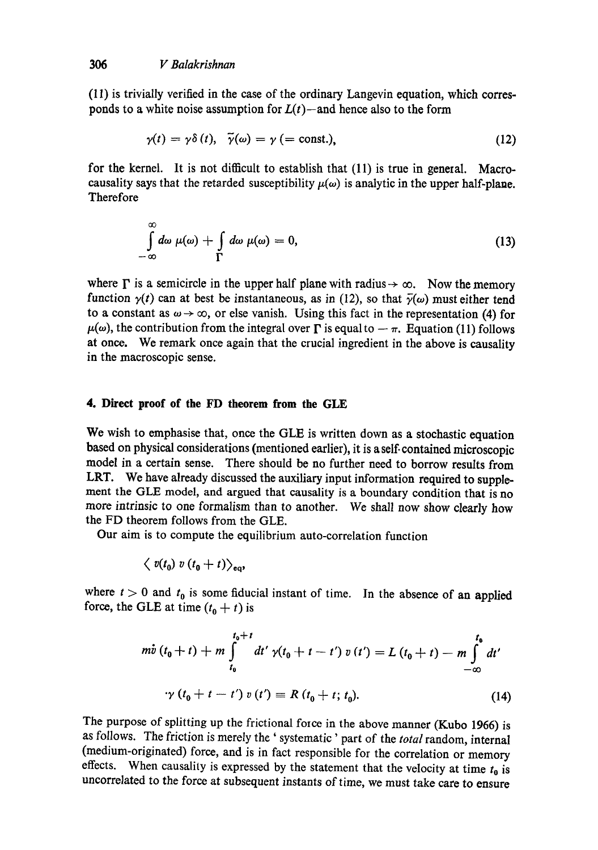(11) is trivially verified in the case of the ordinary Langevin equation, which corresponds to a white noise assumption for  $L(t)$ --and hence also to the form

$$
\gamma(t) = \gamma \delta(t), \quad \tilde{\gamma}(\omega) = \gamma \text{ (= const.),} \tag{12}
$$

for the kernel. It is not difficult to establish that (11) is true in general. Macrocausality says that the retarded susceptibility  $\mu(\omega)$  is analytic in the upper half-plane. **Therefore** 

$$
\int_{-\infty}^{\infty} d\omega \mu(\omega) + \int_{\Gamma} d\omega \mu(\omega) = 0, \qquad (13)
$$

where  $\Gamma$  is a semicircle in the upper half plane with radius  $\rightarrow \infty$ . Now the memory function  $\gamma(t)$  can at best be instantaneous, as in (12), so that  $\bar{\gamma}(\omega)$  must either tend to a constant as  $\omega \rightarrow \infty$ , or else vanish. Using this fact in the representation (4) for  $\mu(\omega)$ , the contribution from the integral over  $\Gamma$  is equal to  $-\pi$ . Equation (11) follows at once. We remark once again that the crucial ingredient in the above is causality in the macroscopic sense.

## **4. Direct proof of the FD theorem from the GLE**

We wish to emphasise that, once the GLE is written down as a stochastic equation based on physical considerations (mentioned earlier), it is a self-contained microscopic model in a certain sense. There should be no further need to borrow results from LRT. We have already discussed the auxiliary input information required to supplement the GLE model, and argued that causality is a boundary condition that is no more intrinsic to one formalism than to another. We shall now show dearly how the FD theorem follows from the GLE.

Our aim is to compute the equilibrium auto-correlation function

$$
\langle v(t_0) v(t_0+t) \rangle_{\text{eq}},
$$

where  $t > 0$  and  $t_0$  is some fiducial instant of time. In the absence of an applied force, the GLE at time  $(t_0 + t)$  is

$$
m\dot{v}(t_0 + t) + m \int_{t_0}^{t_0 + t} dt' \gamma(t_0 + t - t') v(t') = L (t_0 + t) - m \int_{-\infty}^{t_0} dt'
$$
  

$$
\gamma (t_0 + t - t') v(t') = R (t_0 + t; t_0).
$$
 (14)

The purpose of splitting up the frictional force in the above manner (Kubo 1966) is as follows. The friction is merely the ' systematic ' part of the *total* random, internal (medium-originated) force, and is in fact responsible for the correlation or memory effects. When causality is expressed by the statement that the velocity at time  $t_0$  is uncorrelated to the force at subsequent instants of time, we must take care to ensure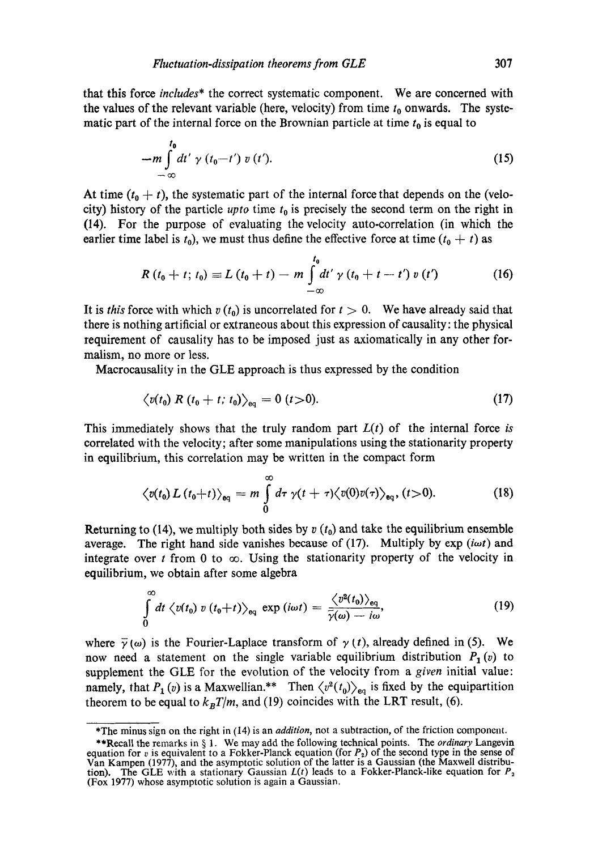that this force *includes\** the correct systematic component. We are concerned with the values of the relevant variable (here, velocity) from time  $t_0$  onwards. The systematic part of the internal force on the Brownian particle at time  $t_0$  is equal to

$$
-m \int_{-\infty}^{t_0} dt' \gamma(t_0-t') v(t'). \qquad (15)
$$

At time  $(t_0 + t)$ , the systematic part of the internal force that depends on the (velocity) history of the particle *upto* time  $t_0$  is precisely the second term on the right in (14). For the purpose of evaluating the velocity auto-correlation (in which the earlier time label is  $t_0$ ), we must thus define the effective force at time  $(t_0 + t)$  as

$$
R(t_0 + t; t_0) \equiv L(t_0 + t) - m \int_{-\infty}^{t_0} dt' \gamma (t_0 + t - t') v(t')
$$
 (16)

It is *this* force with which  $v(t_0)$  is uncorrelated for  $t > 0$ . We have already said that there is nothing artificial or extraneous about this expression of causality: the physical requirement of causality has to be imposed just as axiomatically in any other formalism, no more or less.

Macrocausality in the GLE approach is thus expressed by the condition

$$
\langle v(t_0) \; R \; (t_0 + t; \, t_0) \rangle_{\text{eq}} = 0 \; (t > 0). \tag{17}
$$

This immediately shows that the truly random part  $L(t)$  of the internal force *is* correlated with the velocity; after some manipulations using the stationarity property in equilibrium, this correlation may be written in the compact form

$$
\langle v(t_0) L(t_0+t) \rangle_{\text{eq}} = m \int\limits_0^\infty d\tau \, \gamma(t+\tau) \langle v(0) v(\tau) \rangle_{\text{eq}}, (t>0). \tag{18}
$$

Returning to (14), we multiply both sides by  $v(t_0)$  and take the equilibrium ensemble average. The right hand side vanishes because of  $(17)$ . Multiply by  $\exp(i\omega t)$  and integrate over t from 0 to  $\infty$ . Using the stationarity property of the velocity in equilibrium, we obtain after some algebra

$$
\int_{0}^{\infty} dt \langle v(t_0) v(t_0 + t) \rangle_{\text{eq}} \exp(i\omega t) = \frac{\langle v^2(t_0) \rangle_{\text{eq}}}{\bar{\gamma}(\omega) - i\omega}, \tag{19}
$$

where  $\bar{\gamma}(\omega)$  is the Fourier-Laplace transform of  $\gamma(t)$ , already defined in (5). We now need a statement on the single variable equilibrium distribution  $P_1(v)$  to supplement the GLE for the evolution of the velocity from a *given* initial value: namely, that  $P_1(v)$  is a Maxwellian.\*\* Then  $\langle v^2(t_0) \rangle_{\text{eq}}$  is fixed by the equipartition theorem to be equal to  $k_B T/m$ , and (19) coincides with the LRT result, (6).

<sup>\*</sup>The minus sign on the right in (14) is an *addition,* not a subtraction, of the friction component.

<sup>\*\*</sup>Recall the remarks in § 1. We may add the following technical points. The *ordinary* Langevin equation for v is equivalent to a Fokker-Planck equation (for  $P_2$ ) of the second type in the sense of Van Kampen (1977), and the asymptotic solution of the latter is a Gaussian (the Maxwell distribution). The GLE with a stationary Gaussian  $L(t)$  leads to a Fokker-Planck-like equation for  $P_2$ (Fox 1977) whose asymptotic solution is again a Gaussian.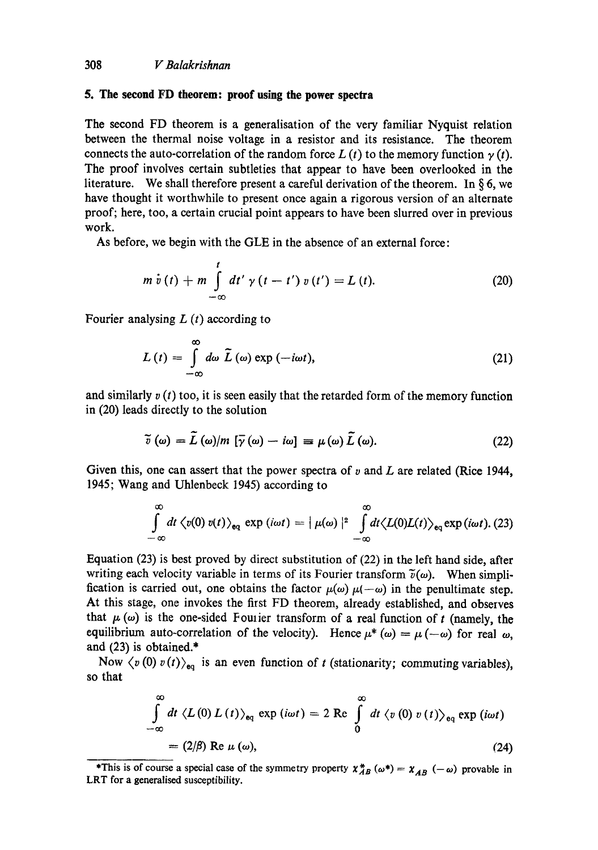### **5. The second FD theorem: proof using the power spectra**

The second FD theorem is a generalisation of the very familiar Nyquist relation between the thermal noise voltage in a resistor and its resistance. The theorem connects the auto-correlation of the random force  $L(t)$  to the memory function  $\gamma(t)$ . The proof involves certain subtleties that appear to have been overlooked in the literature. We shall therefore present a careful derivation of the theorem. In  $\delta 6$ , we have thought it worthwhile to present once again a rigorous version of an alternate proof; here, too, a certain crucial point appears to have been slurred over in previous work.

As before, we begin with the GLE in the absence of an external force:

$$
m \dot{v}(t) + m \int_{-\infty}^{t} dt' \gamma (t - t') v(t') = L(t).
$$
 (20)

Fourier analysing  $L(t)$  according to

$$
L(t) = \int_{-\infty}^{\infty} d\omega \, \tilde{L}(\omega) \exp(-i\omega t), \qquad (21)
$$

and similarly  $v(t)$  too, it is seen easily that the retarded form of the memory function in (20) leads directly to the solution

$$
\widetilde{v}(\omega) = \widetilde{L}(\omega)/m \left[ \overline{\gamma}(\omega) - i\omega \right] \equiv \mu(\omega) \widetilde{L}(\omega). \tag{22}
$$

Given this, one can assert that the power spectra of  $v$  and  $L$  are related (Rice 1944, 1945; Wang and Uhlenbeck 1945) according to

$$
\int_{-\infty}^{\infty} dt \langle v(0) v(t) \rangle_{\mathbf{e}_q} \exp(i\omega t) = |\mu(\omega)|^2 \int_{-\infty}^{\infty} dt \langle L(0)L(t) \rangle_{\mathbf{e}_q} \exp(i\omega t). (23)
$$

Equation (23) is best proved by direct substitution of (22) in the left hand side, after writing each velocity variable in terms of its Fourier transform  $\tilde{v}(\omega)$ . When simplification is carried out, one obtains the factor  $\mu(\omega)\mu(-\omega)$  in the penultimate step. At this stage, one invokes the first FD theorem, already established, and observes that  $\mu$  ( $\omega$ ) is the one-sided Fourier transform of a real function of t (namely, the equilibrium auto-correlation of the velocity). Hence  $\mu^* (\omega) = \mu (-\omega)$  for real  $\omega$ , and (23) is obtained.\*

Now  $\langle v(0) v(t) \rangle_{\mathbf{e}_q}$  is an even function of t (stationarity; commuting variables), so that

$$
\int_{-\infty}^{\infty} dt \langle L(0) L(t) \rangle_{\text{eq}} \exp(i\omega t) = 2 \text{ Re } \int_{0}^{\infty} dt \langle v(0) v(t) \rangle_{\text{eq}} \exp(i\omega t)
$$

$$
= (2/\beta) \text{ Re } \mu(\omega), \qquad (24)
$$

<sup>\*</sup>This is of course a special case of the symmetry property  $\chi_{AB}^{*} (\omega^*) = \chi_{AB} (-\omega)$  provable in LRT for a generalised susceptibility.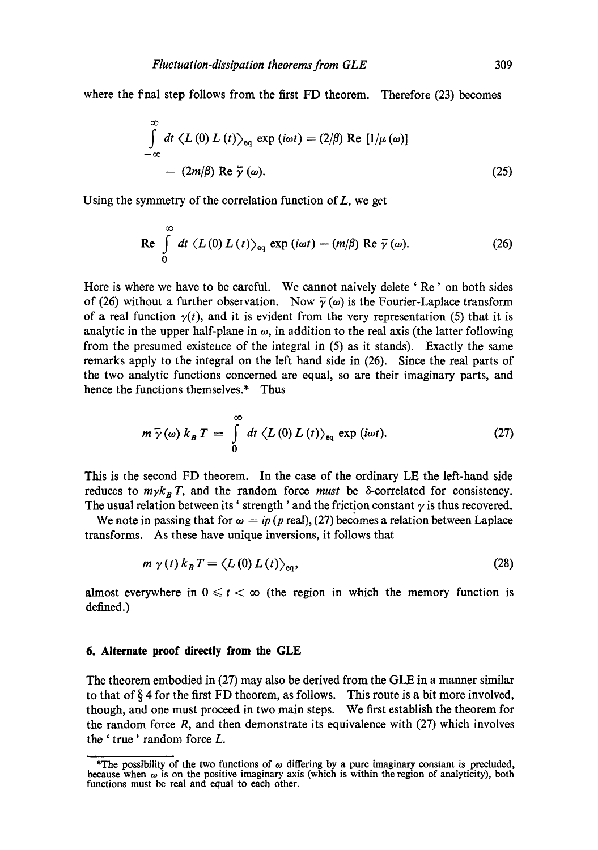where the final step follows from the first FD theorem. Therefore (23) becomes

$$
\int_{-\infty}^{\infty} dt \langle L(0) L(t) \rangle_{\text{eq}} \exp(i\omega t) = (2/\beta) \text{ Re } [1/\mu(\omega)]
$$
  
=  $(2m/\beta) \text{ Re } \overline{\gamma}(\omega).$  (25)

Using the symmetry of the correlation function of  $L$ , we get

$$
\text{Re} \int\limits_{0}^{\infty} dt \,\langle L(0) \, L(t) \rangle_{\text{eq}} \, \exp(i\omega t) = (m/\beta) \text{ Re } \bar{\gamma}(\omega). \tag{26}
$$

Here is where we have to be careful. We cannot naively delete ' Re' on both sides of (26) without a further observation. Now  $\bar{\gamma}(\omega)$  is the Fourier-Laplace transform of a real function  $y(t)$ , and it is evident from the very representation (5) that it is analytic in the upper half-plane in  $\omega$ , in addition to the real axis (the latter following from the presumed existence of the integral in (5) as it stands). Exactly the same remarks apply to the integral on the left hand side in (26). Since the real parts of the two analytic functions concerned are equal, so are their imaginary parts, and hence the functions themselves.\* Thus

$$
m \bar{\gamma}(\omega) k_B T = \int\limits_0^\infty dt \ \langle L(0) L(t) \rangle_{\mathbf{e}_q} \exp(i\omega t). \tag{27}
$$

This is the second FD theorem. In the case of the ordinary LE the left-hand side reduces to  $m\gamma k_B T$ , and the random force *must* be  $\delta$ -correlated for consistency. The usual relation between its ' strength' and the friction constant  $\gamma$  is thus recovered.

We note in passing that for  $\omega = ip$  (*p* real), (27) becomes a relation between Laplace transforms. As these have unique inversions, it follows that

$$
m \gamma(t) k_B T = \langle L(0) L(t) \rangle_{\text{eq}}, \qquad (28)
$$

almost everywhere in  $0 \leq t < \infty$  (the region in which the memory function is defined.)

#### **6. Alternate proof directly from the GLE**

The theorem embodied in (27) may also be derived from the GLE in a manner similar to that of  $\S 4$  for the first FD theorem, as follows. This route is a bit more involved, though, and one must proceed in two main steps. We first establish the theorem for the random force R, and then demonstrate its equivalence with (27) which involves the ' true' random force L.

The possibility of the two functions of  $\omega$  differing by a pure imaginary constant is precluded, because when  $\omega$  is on the positive imaginary axis (which is within the region of analyticity), both functions must be real and equal to each other.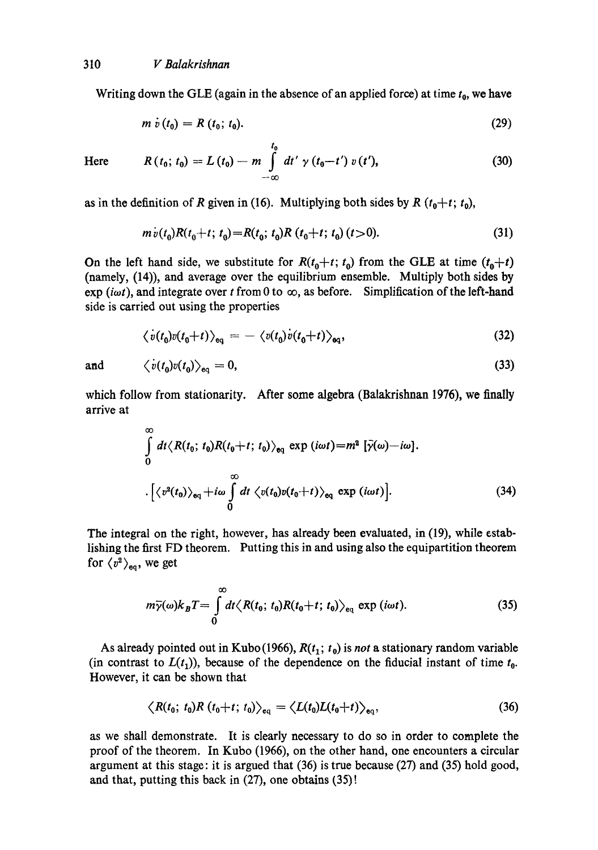Writing down the GLE (again in the absence of an applied force) at time  $t_0$ , we have

$$
m \dot{v}(t_0) = R(t_0; t_0). \tag{29}
$$

Here

$$
R(t_0; t_0) = L(t_0) - m \int_{-\infty}^{t_0} dt' \gamma(t_0 - t') v(t'), \qquad (30)
$$

as in the definition of R given in (16). Multiplying both sides by R  $(t_0+t; t_0)$ ,

$$
m\dot{v}(t_0)R(t_0+t; t_0) = R(t_0; t_0)R(t_0+t; t_0)(t>0).
$$
\n(31)

On the left hand side, we substitute for  $R(t_0+t; t_0)$  from the GLE at time  $(t_0+t)$ (namely, (14)), and average over the equilibrium ensemble. Multiply both sides by exp (iwt), and integrate over t from 0 to  $\infty$ , as before. Simplification of the left-hand side is carried out using the properties

$$
\langle v(t_0)v(t_0+t)\rangle_{\text{eq}} = -\langle v(t_0)v(t_0+t)\rangle_{\text{eq}},\tag{32}
$$

and

$$
\langle \dot{v}(t_0) v(t_0) \rangle_{\text{eq}} = 0, \tag{33}
$$

which follow from stationarity. After some algebra (Balakrishnan 1976), we finally arrive at

$$
\int_{0}^{\infty} dt \langle R(t_0; t_0)R(t_0+t; t_0) \rangle_{\text{eq}} \exp(i\omega t) = m^2 [\bar{\gamma}(\omega) - i\omega].
$$
  

$$
\cdot [\langle v^2(t_0) \rangle_{\text{eq}} + i\omega \int_{0}^{\infty} dt \langle v(t_0)v(t_0+t) \rangle_{\text{eq}} \exp(i\omega t)].
$$
 (34)

The integral on the right, however, has already been evaluated, in (19), while establishing the first FD theorem. Putting this in and using also the equipartition theorem for  $\langle v^2 \rangle_{\text{eq}}$ , we get

$$
m\overline{\gamma}(\omega)k_B T = \int\limits_0^\infty dt \langle R(t_0; t_0)R(t_0 + t; t_0) \rangle_{\text{eq}} \exp(i\omega t). \tag{35}
$$

As already pointed out in Kubo (1966),  $R(t_1; t_0)$  is *not* a stationary random variable (in contrast to  $L(t_1)$ ), because of the dependence on the fiducial instant of time  $t_0$ . However, it can be shown that

$$
\left\langle R(t_0; t_0)R(t_0+t; t_0)\right\rangle_{\text{eq}} = \left\langle L(t_0)L(t_0+t)\right\rangle_{\text{eq}},\tag{36}
$$

as we shall demonstrate. It is clearly necessary to do so in order to complete the proof of the theorem. In Kubo (1966), on the other hand, one encounters a circular argument at this stage: it is argued that (36) is true because (27) and (35) hold good, and that, putting this back in (27), one obtains (35) !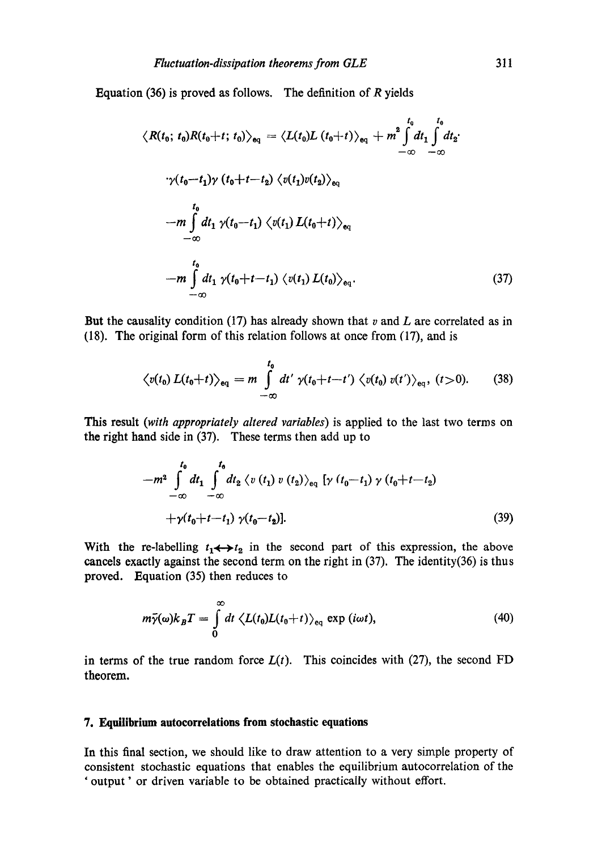Equation (36) is proved as follows. The definition of  $R$  yields

$$
\langle R(t_0; t_0)R(t_0+t; t_0)\rangle_{\mathbf{e}_q} = \langle L(t_0)L(t_0+t)\rangle_{\mathbf{e}_q} + m^2 \int_{-\infty}^{t_0} dt_1 \int_{-\infty}^{t_0} dt_2
$$

$$
\gamma(t_0-t_1)\gamma(t_0+t-t_2) \langle v(t_1)v(t_2)\rangle_{\mathbf{e}_q}
$$

$$
-m \int_{-\infty}^{t_0} dt_1 \gamma(t_0-t_1) \langle v(t_1) L(t_0+t)\rangle_{\mathbf{e}_q}
$$

$$
-m \int_{-\infty}^{t_0} dt_1 \gamma(t_0+t-t_1) \langle v(t_1) L(t_0)\rangle_{\mathbf{e}_q}.
$$
(37)

But the causality condition  $(17)$  has already shown that v and L are correlated as in (18). The original form of this relation follows at once from (17), and is

$$
\langle v(t_0) L(t_0+t) \rangle_{\text{eq}} = m \int\limits_{-\infty}^{t_0} dt' \ \gamma(t_0+t-t') \ \langle v(t_0) \ v(t') \rangle_{\text{eq}}, \ (t>0). \tag{38}
$$

This result *(with appropriately altered variables)* is applied to the last two terms on the right hand side in (37). These terms then add up to

$$
-m^{2} \int_{-\infty}^{t_{0}} dt_{1} \int_{-\infty}^{t_{0}} dt_{2} \langle v(t_{1}) v(t_{2}) \rangle_{\text{eq}} [\gamma (t_{0} - t_{1}) \gamma (t_{0} + t - t_{2}) + \gamma (t_{0} + t - t_{1}) \gamma (t_{0} - t_{2})].
$$
\n(39)

With the re-labelling  $t_1 \leftrightarrow t_2$  in the second part of this expression, the above cancels exactly against the second term on the right in (37). The identity(36) is thus proved. Equation (35) then reduces to

$$
m\bar{\gamma}(\omega)k_B T = \int\limits_0^\infty dt \ \langle L(t_0)L(t_0+t)\rangle_{\text{eq}} \ \exp\left(i\omega t\right),\tag{40}
$$

in terms of the true random force  $L(t)$ . This coincides with (27), the second FD theorem.

#### **7. Equilibrium autocorrelations from stochastic equations**

In this final section, we should like to draw attention to a very simple property of consistent stochastic equations that enables the equilibrium autocorrelation of the ' output' or driven variable to be obtained practically without effort.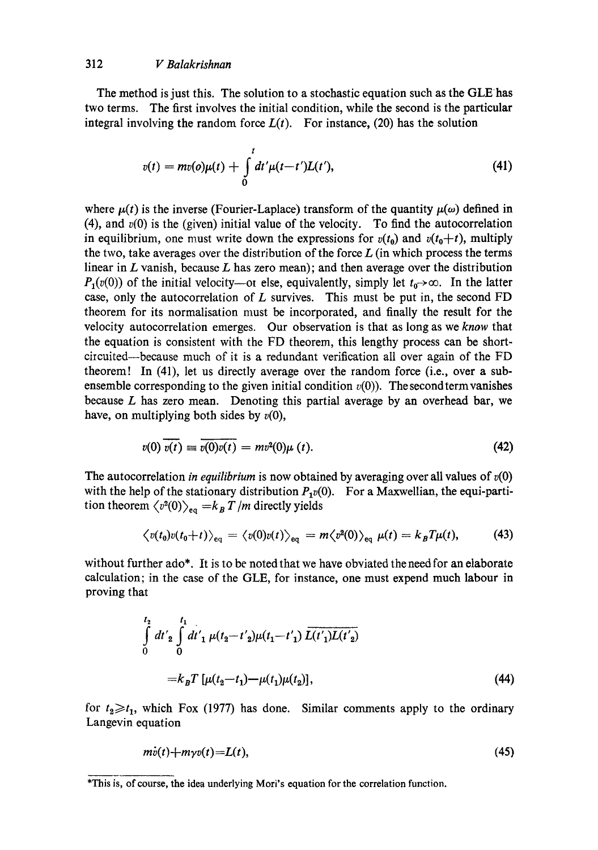The method is just this. The solution to a stochastic equation such as the GLEhas two terms. The first involves the initial condition, while the second is the particular integral involving the random force  $L(t)$ . For instance, (20) has the solution

$$
v(t) = mv(o)\mu(t) + \int_{0}^{t} dt' \mu(t-t')L(t'),
$$
\n(41)

where  $\mu(t)$  is the inverse (Fourier-Laplace) transform of the quantity  $\mu(\omega)$  defined in (4), and  $v(0)$  is the (given) initial value of the velocity. To find the autocorrelation in equilibrium, one must write down the expressions for  $v(t_0)$  and  $v(t_0+t)$ , multiply the two, take averages over the distribution of the force  $L$  (in which process the terms linear in  $L$  vanish, because  $L$  has zero mean); and then average over the distribution  $P_1(v(0))$  of the initial velocity---or else, equivalently, simply let  $t_0 \rightarrow \infty$ . In the latter case, only the autocorrelation of  $L$  survives. This must be put in, the second FD theorem for its normalisation must be incorporated, and finally the result for the velocity autocorrelation emerges. Our observation is that as long as we *know* that the equation is consistent with the FD theorem, this lengthy process can be shortcircuited--because much of it is a redundant verification all over again of the FD theorem! In (41), let us directly average over the random force (i.e., over a subensemble corresponding to the given initial condition  $v(0)$ ). The second term vanishes because  $L$  has zero mean. Denoting this partial average by an overhead bar, we have, on multiplying both sides by *v(O),* 

$$
v(0)\,\overline{v(t)}\equiv\overline{v(0)v(t)}=mv^2(0)\mu\,(t). \tag{42}
$$

The autocorrelation *in equilibrium* is now obtained by averaging over all values of  $v(0)$ with the help of the stationary distribution  $P_1v(0)$ . For a Maxwellian, the equi-partition theorem  $\langle v^2(0) \rangle_{\text{eq}} = k_B T/m$  directly yields

$$
\langle v(t_0)v(t_0+t)\rangle_{\text{eq}}=\langle v(0)v(t)\rangle_{\text{eq}}=m\langle v^2(0)\rangle_{\text{eq}}\mu(t)=k_BT\mu(t),\qquad(43)
$$

without further ado\*. It is to be noted that we have obviated the need for an elaborate calculation; in the case of the GLE, for instance, one must expend much labour in proving that

$$
\int_{0}^{t_{2}} dt'_{2} \int_{0}^{t_{1}} dt'_{1} \mu(t_{2} - t'_{2}) \mu(t_{1} - t'_{1}) \overline{L(t'_{1})L(t'_{2})}
$$
  
=  $k_{B}T [\mu(t_{2} - t_{1}) - \mu(t_{1})\mu(t_{2})],$  (44)

for  $t_2 \ge t_1$ , which Fox (1977) has done. Similar comments apply to the ordinary Langevin equation

$$
m\dot{v}(t) + m\gamma v(t) = L(t),\tag{45}
$$

<sup>\*</sup>This is, of course, the idea underlying Mori's equation for the correlation function.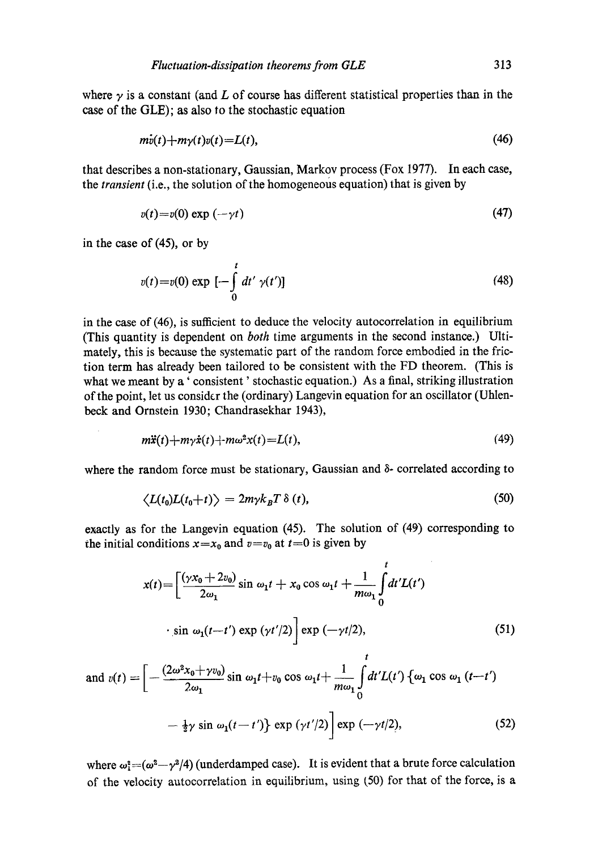where  $\gamma$  is a constant (and L of course has different statistical properties than in the case of the GLE); as also to the stochastic equation

$$
m\dot{v}(t) + m\gamma(t)v(t) = L(t),\tag{46}
$$

that describes a non-stationary, Gaussian, Markov process (Fox 1977). In each case, the *transient* (i.e., the solution of the homogeneous equation) that is given by

$$
v(t) = v(0) \exp(-\gamma t) \tag{47}
$$

in the case of (45), or by

$$
v(t) = v(0) \exp\left[-\int_{0}^{t} dt' \gamma(t')\right]
$$
 (48)

in the case of (46), is sufficient to deduce the velocity autocorrelation in equilibrium (This quantity is dependent on *both* time arguments in the second instance.) Ultimately, this is because the systematic part of the random force embodied in the friction term has already been tailored to be consistent with the FD theorem. (This is what we meant by a ' consistent' stochastic equation.) As a final, striking illustration of the point, let us consider the (ordinary) Langevin equation for an oscillator (Uhlenbeck and Ornstein 1930; Chandrasekhar 1943),

$$
m\ddot{x}(t) + m\gamma\dot{x}(t) + m\omega^2x(t) = L(t),\tag{49}
$$

where the random force must be stationary, Gaussian and 8- correlated according to

$$
\langle L(t_0)L(t_0+t)\rangle = 2m\gamma k_B T \,\delta\left(t\right),\tag{50}
$$

exactly as for the Langevin equation (45). The solution of (49) corresponding to the initial conditions  $x=x_0$  and  $v=v_0$  at  $t=0$  is given by

$$
x(t) = \left[\frac{(\gamma x_0 + 2v_0)}{2\omega_1} \sin \omega_1 t + x_0 \cos \omega_1 t + \frac{1}{m\omega_1} \int_0^t dt' L(t')
$$
  
 
$$
\cdot \sin \omega_1 (t - t') \exp (\gamma t')2 \right] \exp (-\gamma t/2), \qquad (51)
$$
  
and 
$$
v(t) = \left[ -\frac{(2\omega^2 x_0 + \gamma v_0)}{2\omega_1} \sin \omega_1 t + v_0 \cos \omega_1 t + \frac{1}{m\omega_1} \int_0^t dt' L(t') \left\{ \omega_1 \cos \omega_1 (t - t') \right\} \right]
$$

$$
-\frac{1}{2}\gamma\sin\,\omega_1(t-t')\}\exp\left(\gamma t'/2\right)\exp\left(-\gamma t/2\right),\tag{52}
$$

where  $\omega_1^2 = (\omega^2 - \gamma^2/4)$  (underdamped case). It is evident that a brute force calculation of the velocity autocorrelation in equilibrium, using (50) for that of the force, is a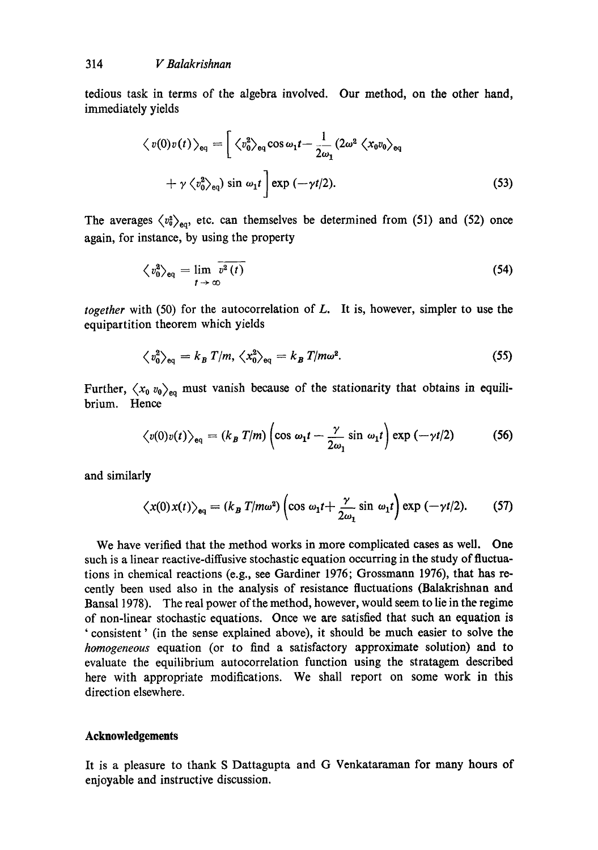tedious task in terms of the algebra involved. Our method, on the other hand, immediately yields

$$
\langle v(0)v(t)\rangle_{\text{eq}} = \left[\langle v_0^2\rangle_{\text{eq}}\cos\omega_1 t - \frac{1}{2\omega_1}(2\omega^2 \langle x_0v_0\rangle_{\text{eq}} + \gamma \langle v_0^2\rangle_{\text{eq}})\sin\omega_1 t\right] \exp(-\gamma t/2).
$$
\n(53)

The averages  $\langle v_0^2 \rangle_{\text{eq}}$ , etc. can themselves be determined from (51) and (52) once again, for instance, by using the property

$$
\langle v_0^2 \rangle_{\text{eq}} = \lim_{t \to \infty} \overline{v^2(t)} \tag{54}
$$

*together* with (50) for the autocorrelation of L. It is, however, simpler to use the equipartition theorem which yields

$$
\langle v_0^2 \rangle_{\text{eq}} = k_B T/m, \langle x_0^2 \rangle_{\text{eq}} = k_B T/m\omega^2. \tag{55}
$$

Further,  $\langle x_0, v_0 \rangle_{\text{eq}}$  must vanish because of the stationarity that obtains in equilibrium. Hence

$$
\langle v(0)v(t)\rangle_{\text{eq}} = (k_B T/m) \left(\cos \omega_1 t - \frac{\gamma}{2\omega_1} \sin \omega_1 t\right) \exp \left(-\gamma t/2\right) \tag{56}
$$

and similarly

$$
\langle x(0)x(t)\rangle_{\text{eq}} = (k_B T/m\omega^2) \left(\cos \omega_1 t + \frac{\gamma}{2\omega_1} \sin \omega_1 t\right) \exp \left(-\gamma t/2\right). \tag{57}
$$

We have verified that the method works in more complicated cases as well. One such is a linear reactive-diffusive stochastic equation occurring in the study of fluctuations in chemical reactions (e.g., see Gardiner 1976; Grossmann 1976), that has recently been used also in the analysis of resistance fluctuations (Balakrishnan and Bansa11978). The real power of the method, however, would seem to lie in the regime of non-linear stochastic equations. Once we are satisfied that such an equation is ' consistent' (in the sense explained above), it should be much easier to solve the *homogeneous* equation (or to find a satisfactory approximate solution) and to evaluate the equilibrium autocorrelation function using the stratagem described here with appropriate modifications. We shall report on some work in this direction elsewhere.

#### **Acknowledgements**

It is a pleasure to thank S Dattagupta and G Venkataraman for many hours of enjoyable and instructive discussion.